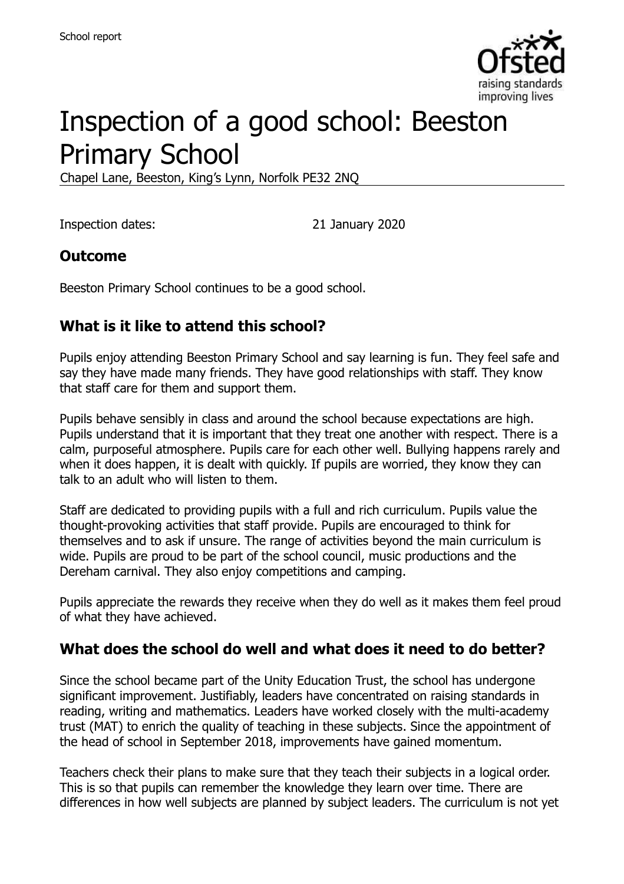

# Inspection of a good school: Beeston Primary School

Chapel Lane, Beeston, King's Lynn, Norfolk PE32 2NQ

Inspection dates: 21 January 2020

#### **Outcome**

Beeston Primary School continues to be a good school.

#### **What is it like to attend this school?**

Pupils enjoy attending Beeston Primary School and say learning is fun. They feel safe and say they have made many friends. They have good relationships with staff. They know that staff care for them and support them.

Pupils behave sensibly in class and around the school because expectations are high. Pupils understand that it is important that they treat one another with respect. There is a calm, purposeful atmosphere. Pupils care for each other well. Bullying happens rarely and when it does happen, it is dealt with quickly. If pupils are worried, they know they can talk to an adult who will listen to them.

Staff are dedicated to providing pupils with a full and rich curriculum. Pupils value the thought-provoking activities that staff provide. Pupils are encouraged to think for themselves and to ask if unsure. The range of activities beyond the main curriculum is wide. Pupils are proud to be part of the school council, music productions and the Dereham carnival. They also enjoy competitions and camping.

Pupils appreciate the rewards they receive when they do well as it makes them feel proud of what they have achieved.

#### **What does the school do well and what does it need to do better?**

Since the school became part of the Unity Education Trust, the school has undergone significant improvement. Justifiably, leaders have concentrated on raising standards in reading, writing and mathematics. Leaders have worked closely with the multi-academy trust (MAT) to enrich the quality of teaching in these subjects. Since the appointment of the head of school in September 2018, improvements have gained momentum.

Teachers check their plans to make sure that they teach their subjects in a logical order. This is so that pupils can remember the knowledge they learn over time. There are differences in how well subjects are planned by subject leaders. The curriculum is not yet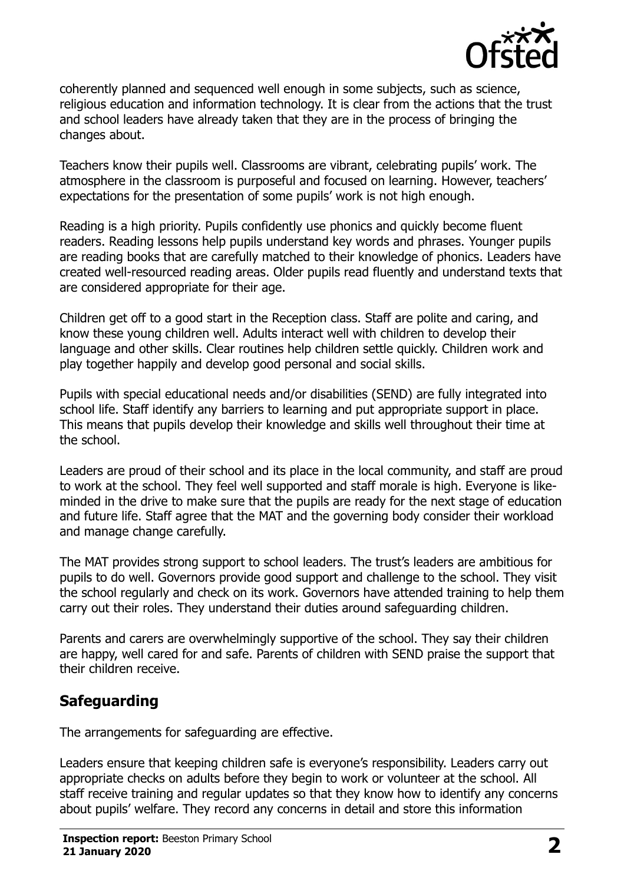

coherently planned and sequenced well enough in some subjects, such as science, religious education and information technology. It is clear from the actions that the trust and school leaders have already taken that they are in the process of bringing the changes about.

Teachers know their pupils well. Classrooms are vibrant, celebrating pupils' work. The atmosphere in the classroom is purposeful and focused on learning. However, teachers' expectations for the presentation of some pupils' work is not high enough.

Reading is a high priority. Pupils confidently use phonics and quickly become fluent readers. Reading lessons help pupils understand key words and phrases. Younger pupils are reading books that are carefully matched to their knowledge of phonics. Leaders have created well-resourced reading areas. Older pupils read fluently and understand texts that are considered appropriate for their age.

Children get off to a good start in the Reception class. Staff are polite and caring, and know these young children well. Adults interact well with children to develop their language and other skills. Clear routines help children settle quickly. Children work and play together happily and develop good personal and social skills.

Pupils with special educational needs and/or disabilities (SEND) are fully integrated into school life. Staff identify any barriers to learning and put appropriate support in place. This means that pupils develop their knowledge and skills well throughout their time at the school.

Leaders are proud of their school and its place in the local community, and staff are proud to work at the school. They feel well supported and staff morale is high. Everyone is likeminded in the drive to make sure that the pupils are ready for the next stage of education and future life. Staff agree that the MAT and the governing body consider their workload and manage change carefully.

The MAT provides strong support to school leaders. The trust's leaders are ambitious for pupils to do well. Governors provide good support and challenge to the school. They visit the school regularly and check on its work. Governors have attended training to help them carry out their roles. They understand their duties around safeguarding children.

Parents and carers are overwhelmingly supportive of the school. They say their children are happy, well cared for and safe. Parents of children with SEND praise the support that their children receive.

# **Safeguarding**

The arrangements for safeguarding are effective.

Leaders ensure that keeping children safe is everyone's responsibility. Leaders carry out appropriate checks on adults before they begin to work or volunteer at the school. All staff receive training and regular updates so that they know how to identify any concerns about pupils' welfare. They record any concerns in detail and store this information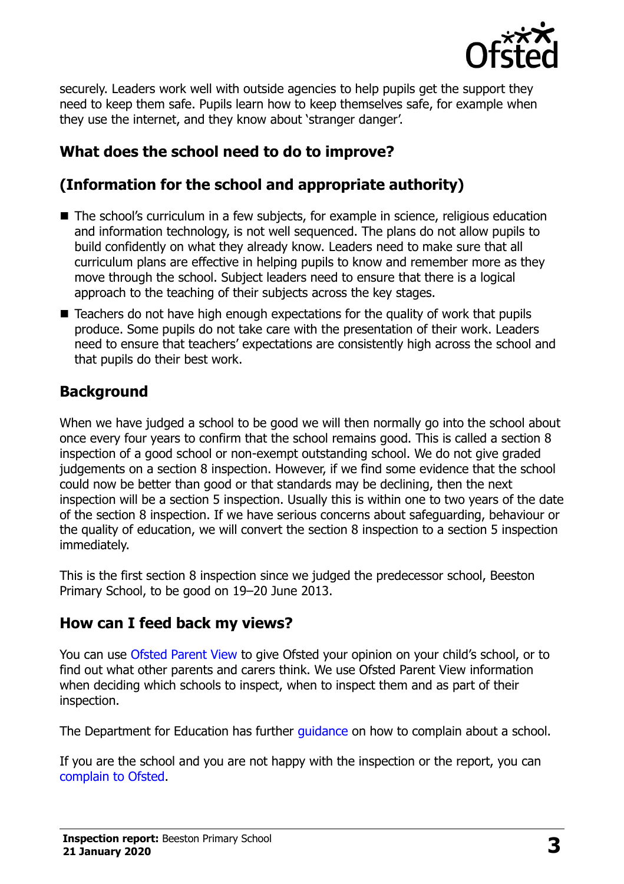

securely. Leaders work well with outside agencies to help pupils get the support they need to keep them safe. Pupils learn how to keep themselves safe, for example when they use the internet, and they know about 'stranger danger'.

# **What does the school need to do to improve?**

# **(Information for the school and appropriate authority)**

- The school's curriculum in a few subiects, for example in science, religious education and information technology, is not well sequenced. The plans do not allow pupils to build confidently on what they already know. Leaders need to make sure that all curriculum plans are effective in helping pupils to know and remember more as they move through the school. Subject leaders need to ensure that there is a logical approach to the teaching of their subjects across the key stages.
- Teachers do not have high enough expectations for the quality of work that pupils produce. Some pupils do not take care with the presentation of their work. Leaders need to ensure that teachers' expectations are consistently high across the school and that pupils do their best work.

# **Background**

When we have judged a school to be good we will then normally go into the school about once every four years to confirm that the school remains good. This is called a section 8 inspection of a good school or non-exempt outstanding school. We do not give graded judgements on a section 8 inspection. However, if we find some evidence that the school could now be better than good or that standards may be declining, then the next inspection will be a section 5 inspection. Usually this is within one to two years of the date of the section 8 inspection. If we have serious concerns about safeguarding, behaviour or the quality of education, we will convert the section 8 inspection to a section 5 inspection immediately.

This is the first section 8 inspection since we judged the predecessor school, Beeston Primary School, to be good on 19–20 June 2013.

# **How can I feed back my views?**

You can use [Ofsted Parent View](https://parentview.ofsted.gov.uk/) to give Ofsted your opinion on your child's school, or to find out what other parents and carers think. We use Ofsted Parent View information when deciding which schools to inspect, when to inspect them and as part of their inspection.

The Department for Education has further quidance on how to complain about a school.

If you are the school and you are not happy with the inspection or the report, you can [complain to Ofsted.](https://www.gov.uk/complain-ofsted-report)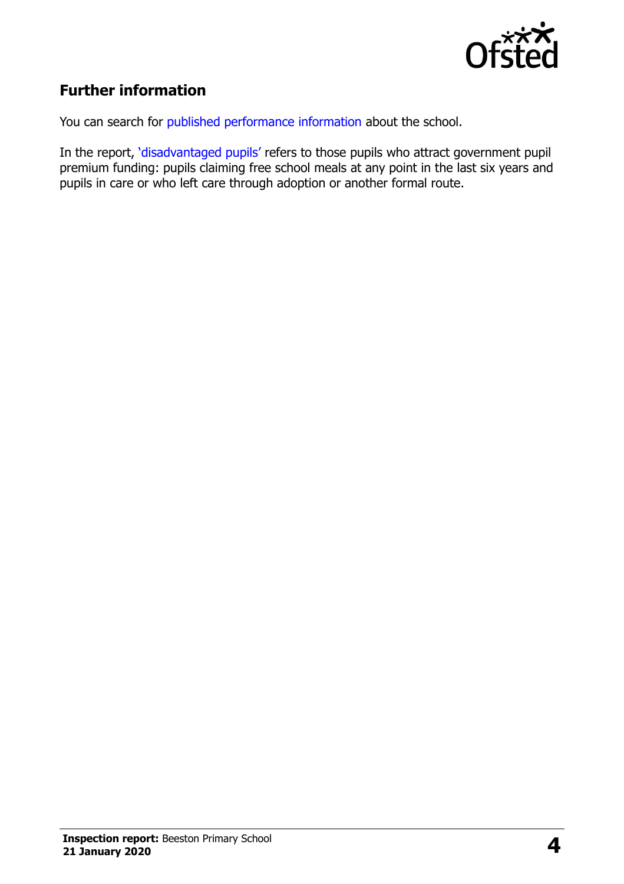

# **Further information**

You can search for [published performance information](http://www.compare-school-performance.service.gov.uk/) about the school.

In the report, '[disadvantaged pupils](http://www.gov.uk/guidance/pupil-premium-information-for-schools-and-alternative-provision-settings)' refers to those pupils who attract government pupil premium funding: pupils claiming free school meals at any point in the last six years and pupils in care or who left care through adoption or another formal route.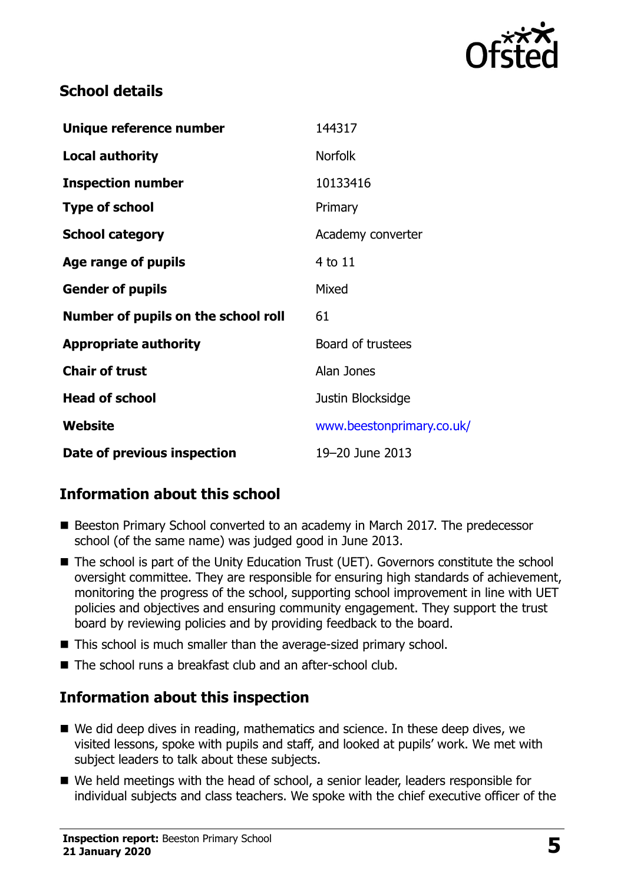

### **School details**

| Unique reference number             | 144317                    |
|-------------------------------------|---------------------------|
| <b>Local authority</b>              | <b>Norfolk</b>            |
| <b>Inspection number</b>            | 10133416                  |
| <b>Type of school</b>               | Primary                   |
| <b>School category</b>              | Academy converter         |
| Age range of pupils                 | 4 to 11                   |
| <b>Gender of pupils</b>             | Mixed                     |
| Number of pupils on the school roll | 61                        |
| <b>Appropriate authority</b>        | Board of trustees         |
| <b>Chair of trust</b>               | Alan Jones                |
| <b>Head of school</b>               | Justin Blocksidge         |
| Website                             | www.beestonprimary.co.uk/ |
| Date of previous inspection         | 19-20 June 2013           |

# **Information about this school**

- Beeston Primary School converted to an academy in March 2017. The predecessor school (of the same name) was judged good in June 2013.
- The school is part of the Unity Education Trust (UET). Governors constitute the school oversight committee. They are responsible for ensuring high standards of achievement, monitoring the progress of the school, supporting school improvement in line with UET policies and objectives and ensuring community engagement. They support the trust board by reviewing policies and by providing feedback to the board.
- This school is much smaller than the average-sized primary school.
- The school runs a breakfast club and an after-school club.

# **Information about this inspection**

- We did deep dives in reading, mathematics and science. In these deep dives, we visited lessons, spoke with pupils and staff, and looked at pupils' work. We met with subject leaders to talk about these subjects.
- We held meetings with the head of school, a senior leader, leaders responsible for individual subjects and class teachers. We spoke with the chief executive officer of the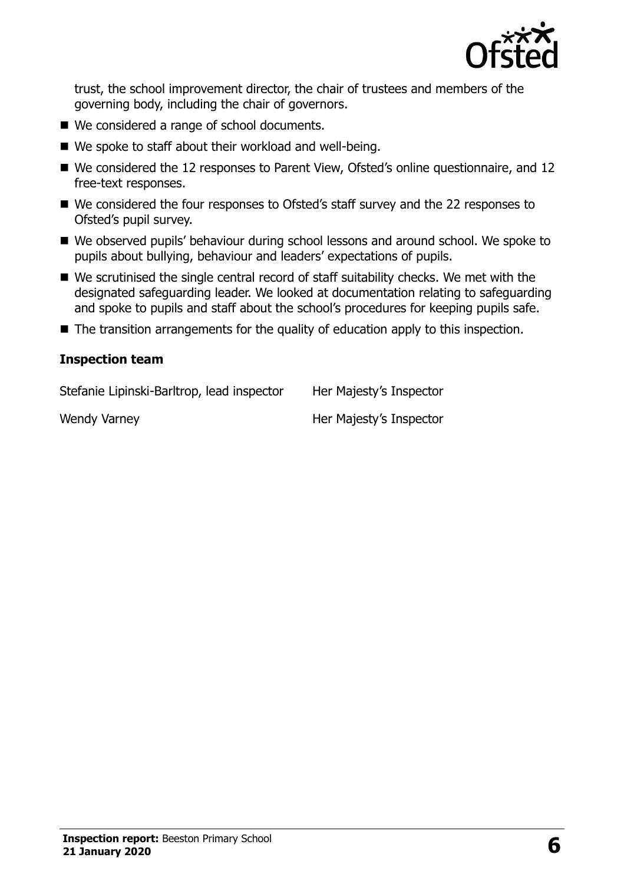

trust, the school improvement director, the chair of trustees and members of the governing body, including the chair of governors.

- We considered a range of school documents.
- We spoke to staff about their workload and well-being.
- We considered the 12 responses to Parent View, Ofsted's online questionnaire, and 12 free-text responses.
- We considered the four responses to Ofsted's staff survey and the 22 responses to Ofsted's pupil survey.
- We observed pupils' behaviour during school lessons and around school. We spoke to pupils about bullying, behaviour and leaders' expectations of pupils.
- We scrutinised the single central record of staff suitability checks. We met with the designated safeguarding leader. We looked at documentation relating to safeguarding and spoke to pupils and staff about the school's procedures for keeping pupils safe.
- The transition arrangements for the quality of education apply to this inspection.

#### **Inspection team**

Stefanie Lipinski-Barltrop, lead inspector Her Majesty's Inspector

Wendy Varney New York Christian Majesty's Inspector